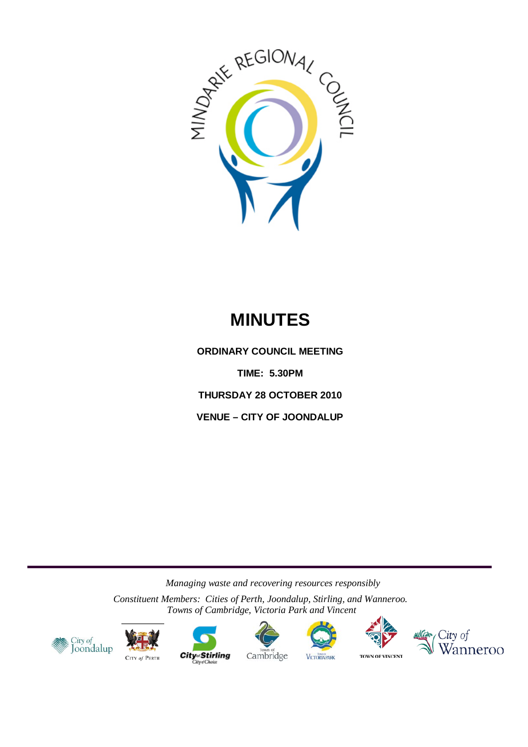

# **MINUTES**

**ORDINARY COUNCIL MEETING TIME: 5.30PM THURSDAY 28 OCTOBER 2010 VENUE – CITY OF JOONDALUP**

*Managing waste and recovering resources responsibly*

*Constituent Members: Cities of Perth, Joondalup, Stirling, and Wanneroo. Towns of Cambridge, Victoria Park and Vincent*













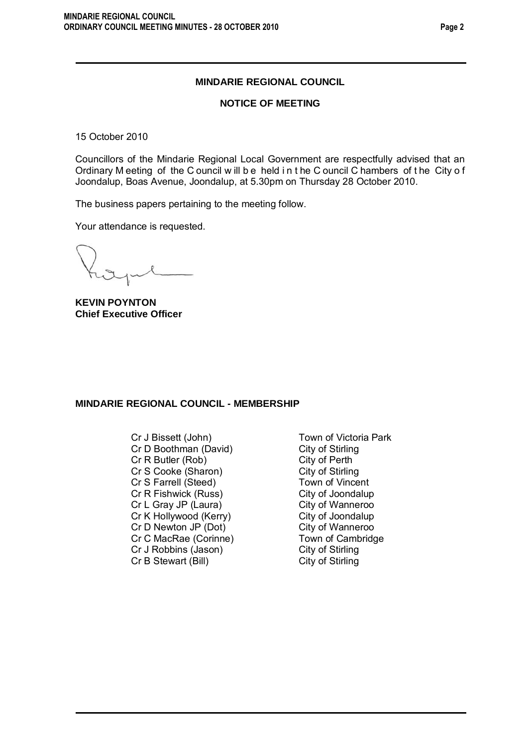### **MINDARIE REGIONAL COUNCIL**

#### **NOTICE OF MEETING**

15 October 2010

Councillors of the Mindarie Regional Local Government are respectfully advised that an Ordinary M eeting of the C ouncil w ill b e held i n t he C ouncil C hambers of t he City o f Joondalup, Boas Avenue, Joondalup, at 5.30pm on Thursday 28 October 2010.

The business papers pertaining to the meeting follow.

Your attendance is requested.

**KEVIN POYNTON Chief Executive Officer**

#### **MINDARIE REGIONAL COUNCIL - MEMBERSHIP**

- Cr J Bissett (John) Town of Victoria Park Cr D Boothman (David) City of Stirling Cr R Butler (Rob) City of Perth<br>
Cr S Cooke (Sharon) City of Stirling Cr S Cooke (Sharon) City of Stirling<br>
Cr S Farrell (Steed) Town of Vincent Cr S Farrell (Steed) Town of Vincent<br>
Cr R Fishwick (Russ) City of Joondalup Cr R Fishwick (Russ) City of Joondalup<br>Cr L Gray JP (Laura) City of Wanneroo Cr L Gray JP (Laura) Cr K Hollywood (Kerry) City of Joondalup<br>Cr D Newton JP (Dot) City of Wanneroo Cr D Newton JP (Dot) City of Wanneroo<br>
Cr C MacRae (Corinne) Cr C MacRae (Corinne) Cr C MacRae (Corinne) Town of Camb<br>Cr J Robbins (Jason) City of Stirling Cr J Robbins (Jason) City of Stirling<br>
Cr B Stewart (Bill) City of Stirling Cr B Stewart (Bill)
	-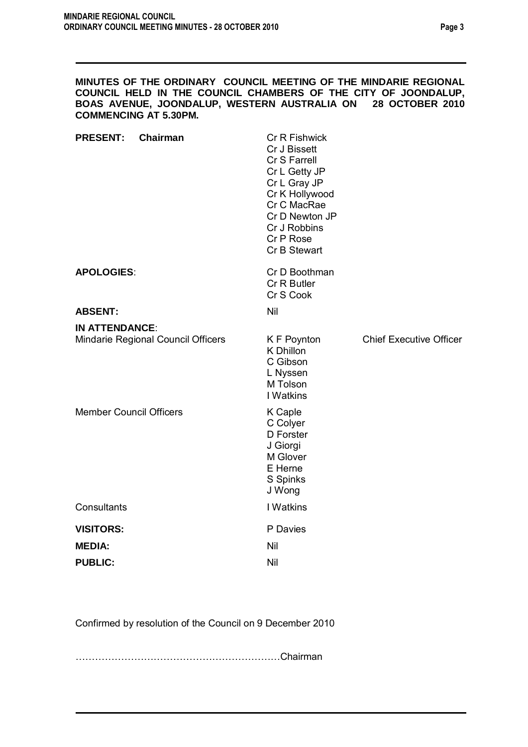### **MINUTES OF THE ORDINARY COUNCIL MEETING OF THE MINDARIE REGIONAL COUNCIL HELD IN THE COUNCIL CHAMBERS OF THE CITY OF JOONDALUP, BOAS AVENUE, JOONDALUP, WESTERN AUSTRALIA ON 28 OCTOBER 2010 COMMENCING AT 5.30PM.**

| <b>PRESENT:</b>                | <b>Chairman</b>                    | Cr R Fishwick<br>Cr J Bissett<br>Cr S Farrell<br>Cr L Getty JP<br>Cr L Gray JP<br>Cr K Hollywood<br>Cr C MacRae<br>Cr D Newton JP<br>Cr J Robbins<br>Cr P Rose<br>Cr B Stewart |                                |
|--------------------------------|------------------------------------|--------------------------------------------------------------------------------------------------------------------------------------------------------------------------------|--------------------------------|
| <b>APOLOGIES:</b>              |                                    | Cr D Boothman<br>Cr R Butler<br>Cr S Cook                                                                                                                                      |                                |
| <b>ABSENT:</b>                 |                                    | Nil                                                                                                                                                                            |                                |
| <b>IN ATTENDANCE:</b>          |                                    |                                                                                                                                                                                |                                |
|                                | Mindarie Regional Council Officers | K F Poynton<br>K Dhillon<br>C Gibson<br>L Nyssen<br>M Tolson<br>I Watkins                                                                                                      | <b>Chief Executive Officer</b> |
| <b>Member Council Officers</b> |                                    | K Caple<br>C Colyer<br>D Forster<br>J Giorgi<br>M Glover<br>E Herne<br>S Spinks<br>J Wong                                                                                      |                                |
| Consultants                    |                                    | I Watkins                                                                                                                                                                      |                                |
| <b>VISITORS:</b>               |                                    | P Davies                                                                                                                                                                       |                                |
| <b>MEDIA:</b>                  |                                    | Nil                                                                                                                                                                            |                                |
| <b>PUBLIC:</b>                 |                                    | Nil                                                                                                                                                                            |                                |
|                                |                                    |                                                                                                                                                                                |                                |

Confirmed by resolution of the Council on 9 December 2010

………………………………………………………Chairman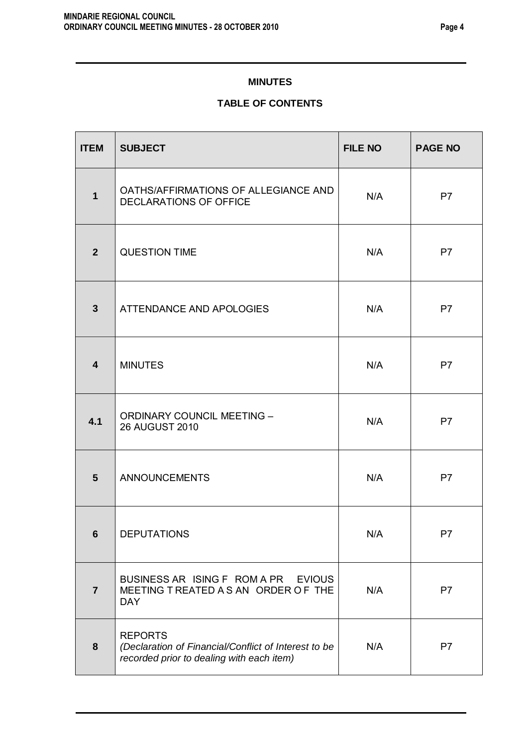# **MINUTES**

# **TABLE OF CONTENTS**

| <b>ITEM</b>             | <b>SUBJECT</b>                                                                                                      | <b>FILE NO</b> | <b>PAGE NO</b> |
|-------------------------|---------------------------------------------------------------------------------------------------------------------|----------------|----------------|
| $\mathbf{1}$            | OATHS/AFFIRMATIONS OF ALLEGIANCE AND<br>DECLARATIONS OF OFFICE                                                      | N/A            | P <sub>7</sub> |
| 2 <sup>2</sup>          | <b>QUESTION TIME</b>                                                                                                | N/A            | P <sub>7</sub> |
| $\overline{\mathbf{3}}$ | ATTENDANCE AND APOLOGIES                                                                                            | N/A            | P <sub>7</sub> |
| $\overline{\mathbf{4}}$ | <b>MINUTES</b>                                                                                                      | N/A            | P7             |
| 4.1                     | <b>ORDINARY COUNCIL MEETING -</b><br><b>26 AUGUST 2010</b>                                                          | N/A            | P <sub>7</sub> |
| 5                       | <b>ANNOUNCEMENTS</b>                                                                                                | N/A            | P7             |
| 6                       | <b>DEPUTATIONS</b>                                                                                                  | N/A            | P7             |
| $\overline{7}$          | BUSINESS AR ISING F ROM A PR<br><b>EVIOUS</b><br>MEETING T REATED A S AN ORDER OF THE<br><b>DAY</b>                 | N/A            | P7             |
| 8                       | <b>REPORTS</b><br>(Declaration of Financial/Conflict of Interest to be<br>recorded prior to dealing with each item) | N/A            | P <sub>7</sub> |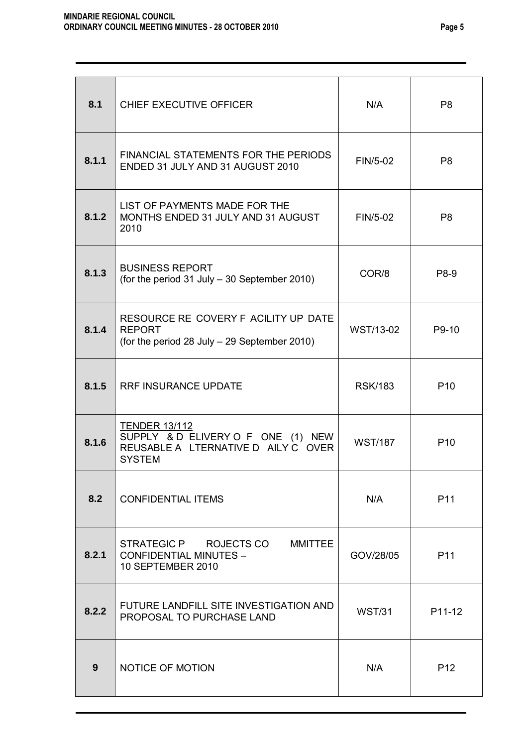| 8.1   | CHIEF EXECUTIVE OFFICER                                                                                            | N/A            | P <sub>8</sub>  |
|-------|--------------------------------------------------------------------------------------------------------------------|----------------|-----------------|
| 8.1.1 | FINANCIAL STATEMENTS FOR THE PERIODS<br>ENDED 31 JULY AND 31 AUGUST 2010                                           | FIN/5-02       | P <sub>8</sub>  |
| 8.1.2 | LIST OF PAYMENTS MADE FOR THE<br>MONTHS ENDED 31 JULY AND 31 AUGUST<br>2010                                        | FIN/5-02       | P8              |
| 8.1.3 | <b>BUSINESS REPORT</b><br>(for the period $31$ July $-30$ September 2010)                                          | COR/8          | P8-9            |
| 8.1.4 | RESOURCE RE COVERY F ACILITY UP DATE<br><b>REPORT</b><br>(for the period 28 July - 29 September 2010)              | WST/13-02      | P9-10           |
| 8.1.5 | <b>RRF INSURANCE UPDATE</b>                                                                                        | <b>RSK/183</b> | P <sub>10</sub> |
| 8.1.6 | <b>TENDER 13/112</b><br>SUPPLY & D ELIVERY O F ONE (1) NEW<br>REUSABLE A LTERNATIVE D AILY C OVER<br><b>SYSTEM</b> | <b>WST/187</b> | P <sub>10</sub> |
| 8.2   | <b>CONFIDENTIAL ITEMS</b>                                                                                          | N/A            | P <sub>11</sub> |
| 8.2.1 | STRATEGIC P ROJECTS CO<br><b>MMITTEE</b><br><b>CONFIDENTIAL MINUTES -</b><br>10 SEPTEMBER 2010                     | GOV/28/05      | P11             |
| 8.2.2 | FUTURE LANDFILL SITE INVESTIGATION AND<br>PROPOSAL TO PURCHASE LAND                                                | <b>WST/31</b>  | P11-12          |
| 9     | NOTICE OF MOTION                                                                                                   | N/A            | P <sub>12</sub> |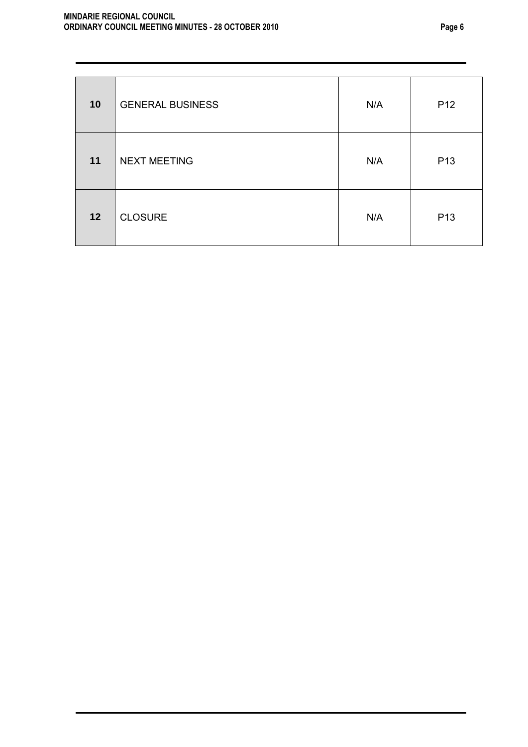| 10 | <b>GENERAL BUSINESS</b> | N/A | P <sub>12</sub> |
|----|-------------------------|-----|-----------------|
| 11 | <b>NEXT MEETING</b>     | N/A | P <sub>13</sub> |
| 12 | <b>CLOSURE</b>          | N/A | P <sub>13</sub> |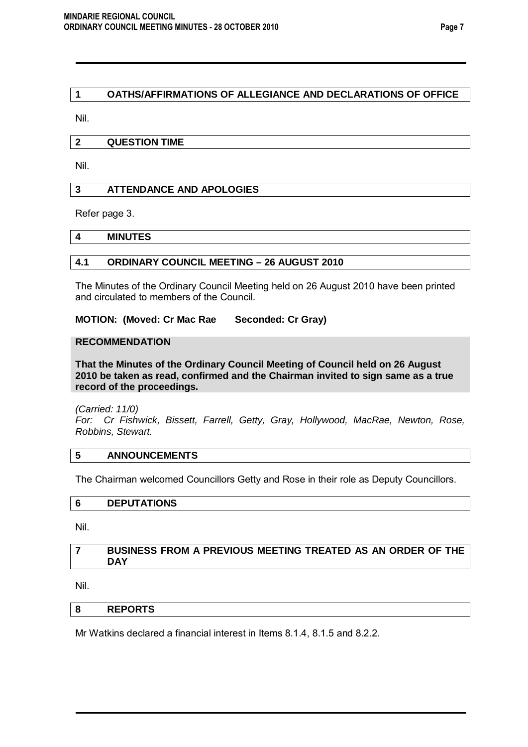# **1 OATHS/AFFIRMATIONS OF ALLEGIANCE AND DECLARATIONS OF OFFICE**

Nil.

### **2 QUESTION TIME**

Nil.

### **3 ATTENDANCE AND APOLOGIES**

Refer page 3.

#### **4 MINUTES**

# **4.1 ORDINARY COUNCIL MEETING – 26 AUGUST 2010**

The Minutes of the Ordinary Council Meeting held on 26 August 2010 have been printed and circulated to members of the Council.

# **MOTION: (Moved: Cr Mac Rae Seconded: Cr Gray)**

#### **RECOMMENDATION**

**That the Minutes of the Ordinary Council Meeting of Council held on 26 August 2010 be taken as read, confirmed and the Chairman invited to sign same as a true record of the proceedings.**

*(Carried: 11/0)* 

*For: Cr Fishwick, Bissett, Farrell, Getty, Gray, Hollywood, MacRae, Newton, Rose, Robbins, Stewart.*

#### **5 ANNOUNCEMENTS**

The Chairman welcomed Councillors Getty and Rose in their role as Deputy Councillors.

# **6 DEPUTATIONS**

Nil.

### **7 BUSINESS FROM A PREVIOUS MEETING TREATED AS AN ORDER OF THE DAY**

Nil.

### **8 REPORTS**

Mr Watkins declared a financial interest in Items 8.1.4, 8.1.5 and 8.2.2.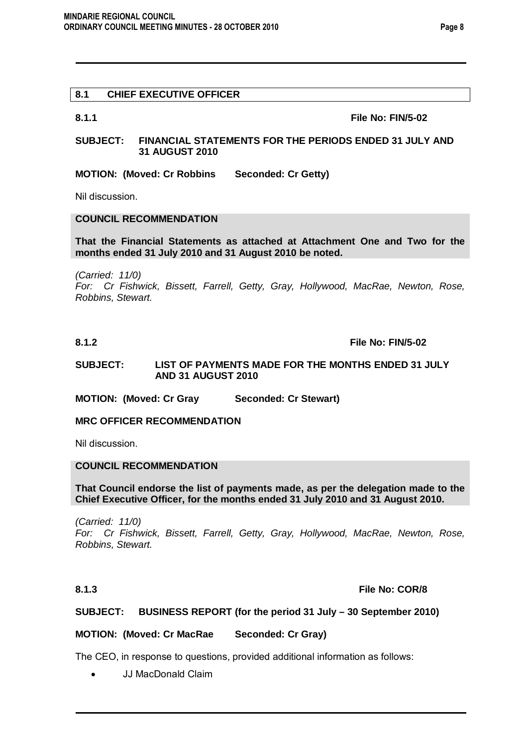## **8.1 CHIEF EXECUTIVE OFFICER**

**8.1.1 File No: FIN/5-02**

#### **SUBJECT: FINANCIAL STATEMENTS FOR THE PERIODS ENDED 31 JULY AND 31 AUGUST 2010**

**MOTION: (Moved: Cr Robbins Seconded: Cr Getty)** 

Nil discussion.

# **COUNCIL RECOMMENDATION**

**That the Financial Statements as attached at Attachment One and Two for the months ended 31 July 2010 and 31 August 2010 be noted.**

*(Carried: 11/0)* 

*For: Cr Fishwick, Bissett, Farrell, Getty, Gray, Hollywood, MacRae, Newton, Rose, Robbins, Stewart.*

#### **8.1.2 File No: FIN/5-02**

#### **SUBJECT: LIST OF PAYMENTS MADE FOR THE MONTHS ENDED 31 JULY AND 31 AUGUST 2010**

**MOTION: (Moved: Cr Gray Seconded: Cr Stewart)** 

#### **MRC OFFICER RECOMMENDATION**

Nil discussion.

#### **COUNCIL RECOMMENDATION**

**That Council endorse the list of payments made, as per the delegation made to the Chief Executive Officer, for the months ended 31 July 2010 and 31 August 2010.**

*(Carried: 11/0) For: Cr Fishwick, Bissett, Farrell, Getty, Gray, Hollywood, MacRae, Newton, Rose, Robbins, Stewart.*

#### **8.1.3 File No: COR/8**

# **SUBJECT: BUSINESS REPORT (for the period 31 July – 30 September 2010)**

#### **MOTION: (Moved: Cr MacRae Seconded: Cr Gray)**

The CEO, in response to questions, provided additional information as follows:

• JJ MacDonald Claim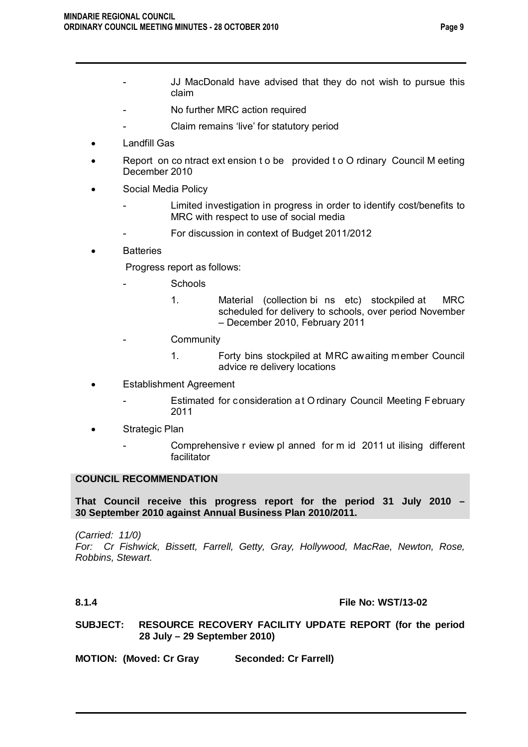- JJ MacDonald have advised that they do not wish to pursue this claim
	- No further MRC action required
	- Claim remains 'live' for statutory period
- Landfill Gas
- Report on co ntract ext ension t o be provided t o O rdinary Council M eeting December 2010
- Social Media Policy
	- Limited investigation in progress in order to identify cost/benefits to MRC with respect to use of social media
	- For discussion in context of Budget 2011/2012
- **Batteries**

Progress report as follows:

- **Schools** 
	- 1. Material (collection bi ns etc) stockpiled at MRC scheduled for delivery to schools, over period November – December 2010, February 2011
- **Community** 
	- 1. Forty bins stockpiled at MRC awaiting member Council advice re delivery locations
- Establishment Agreement
	- Estimated for consideration at O rdinary Council Meeting February 2011
- Strategic Plan
	- Comprehensive r eview pl anned for m id 2011 ut ilising different facilitator

# **COUNCIL RECOMMENDATION**

**That Council receive this progress report for the period 31 July 2010 – 30 September 2010 against Annual Business Plan 2010/2011.**

*(Carried: 11/0) For: Cr Fishwick, Bissett, Farrell, Getty, Gray, Hollywood, MacRae, Newton, Rose, Robbins, Stewart.*

#### **8.1.4 File No: WST/13-02**

**SUBJECT: RESOURCE RECOVERY FACILITY UPDATE REPORT (for the period 28 July – 29 September 2010)**

**MOTION: (Moved: Cr Gray Seconded: Cr Farrell)**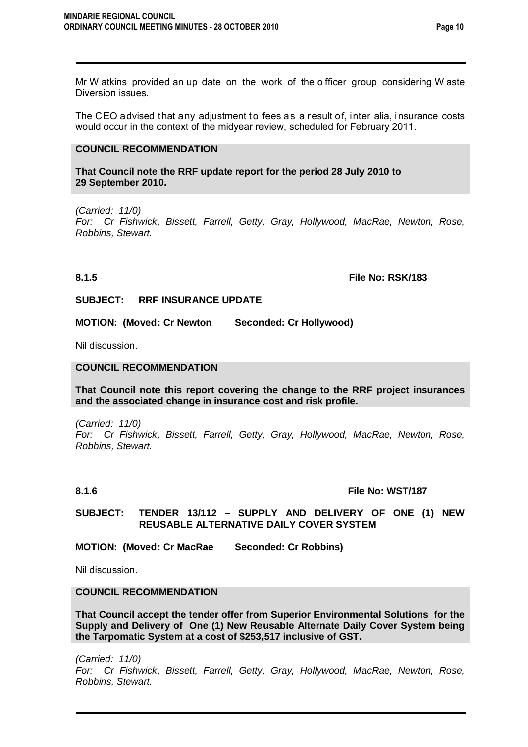Mr W atkins provided an up date on the work of the o fficer group considering W aste Diversion issues.

The CEO advised that any adjustment to fees as a result of, inter alia, insurance costs would occur in the context of the midyear review, scheduled for February 2011.

# **COUNCIL RECOMMENDATION**

**That Council note the RRF update report for the period 28 July 2010 to 29 September 2010.**

*(Carried: 11/0)* 

*For: Cr Fishwick, Bissett, Farrell, Getty, Gray, Hollywood, MacRae, Newton, Rose, Robbins, Stewart.*

**8.1.5 File No: RSK/183**

**SUBJECT: RRF INSURANCE UPDATE**

**MOTION: (Moved: Cr Newton Seconded: Cr Hollywood)** 

Nil discussion.

### **COUNCIL RECOMMENDATION**

**That Council note this report covering the change to the RRF project insurances and the associated change in insurance cost and risk profile.**

*(Carried: 11/0) For: Cr Fishwick, Bissett, Farrell, Getty, Gray, Hollywood, MacRae, Newton, Rose, Robbins, Stewart.*

#### **8.1.6 File No: WST/187**

**SUBJECT: TENDER 13/112 – SUPPLY AND DELIVERY OF ONE (1) NEW REUSABLE ALTERNATIVE DAILY COVER SYSTEM**

**MOTION: (Moved: Cr MacRae Seconded: Cr Robbins)** 

Nil discussion.

### **COUNCIL RECOMMENDATION**

**That Council accept the tender offer from Superior Environmental Solutions for the Supply and Delivery of One (1) New Reusable Alternate Daily Cover System being the Tarpomatic System at a cost of \$253,517 inclusive of GST.**

*(Carried: 11/0) For: Cr Fishwick, Bissett, Farrell, Getty, Gray, Hollywood, MacRae, Newton, Rose, Robbins, Stewart.*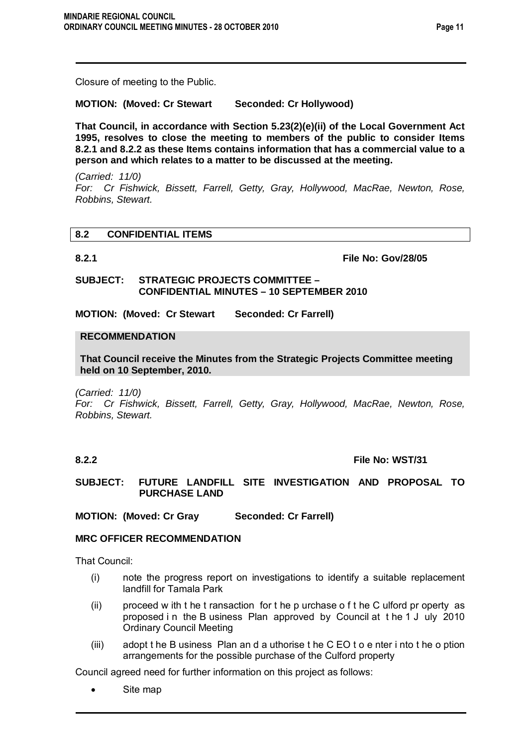Closure of meeting to the Public.

**MOTION: (Moved: Cr Stewart Seconded: Cr Hollywood)** 

**That Council, in accordance with Section 5.23(2)(e)(ii) of the Local Government Act 1995, resolves to close the meeting to members of the public to consider Items 8.2.1 and 8.2.2 as these Items contains information that has a commercial value to a person and which relates to a matter to be discussed at the meeting.** 

*(Carried: 11/0) For: Cr Fishwick, Bissett, Farrell, Getty, Gray, Hollywood, MacRae, Newton, Rose, Robbins, Stewart.*

# **8.2 CONFIDENTIAL ITEMS**

**8.2.1 File No: Gov/28/05**

**SUBJECT: STRATEGIC PROJECTS COMMITTEE – CONFIDENTIAL MINUTES – 10 SEPTEMBER 2010**

**MOTION: (Moved: Cr Stewart Seconded: Cr Farrell)**

#### **RECOMMENDATION**

**That Council receive the Minutes from the Strategic Projects Committee meeting held on 10 September, 2010.**

*(Carried: 11/0)* 

*For: Cr Fishwick, Bissett, Farrell, Getty, Gray, Hollywood, MacRae, Newton, Rose, Robbins, Stewart.*

# **8.2.2 File No: WST/31**

**SUBJECT: FUTURE LANDFILL SITE INVESTIGATION AND PROPOSAL TO PURCHASE LAND**

**MOTION: (Moved: Cr Gray Seconded: Cr Farrell)** 

### **MRC OFFICER RECOMMENDATION**

That Council:

- (i) note the progress report on investigations to identify a suitable replacement landfill for Tamala Park
- (ii) proceed w ith t he t ransaction for t he p urchase o f t he C ulford pr operty as proposed i n the B usiness Plan approved by Council at t he 1 J uly 2010 Ordinary Council Meeting
- (iii) adopt t he B usiness Plan an d a uthorise t he C EO t o e nter i nto t he o ption arrangements for the possible purchase of the Culford property

Council agreed need for further information on this project as follows:

Site map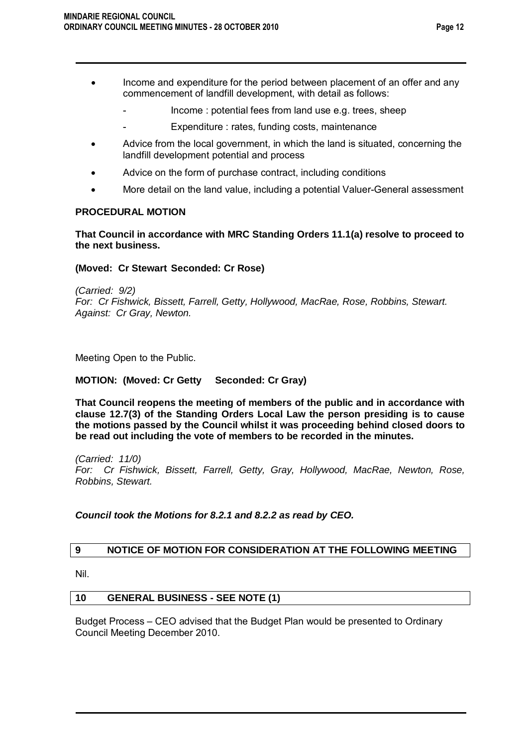- Income and expenditure for the period between placement of an offer and any commencement of landfill development, with detail as follows:
	- Income : potential fees from land use e.g. trees, sheep
	- Expenditure : rates, funding costs, maintenance
- Advice from the local government, in which the land is situated, concerning the landfill development potential and process
- Advice on the form of purchase contract, including conditions
- More detail on the land value, including a potential Valuer-General assessment

# **PROCEDURAL MOTION**

**That Council in accordance with MRC Standing Orders 11.1(a) resolve to proceed to the next business.**

# **(Moved: Cr Stewart Seconded: Cr Rose)**

*(Carried: 9/2) For: Cr Fishwick, Bissett, Farrell, Getty, Hollywood, MacRae, Rose, Robbins, Stewart. Against: Cr Gray, Newton.* 

Meeting Open to the Public.

# **MOTION: (Moved: Cr Getty Seconded: Cr Gray)**

**That Council reopens the meeting of members of the public and in accordance with clause 12.7(3) of the Standing Orders Local Law the person presiding is to cause the motions passed by the Council whilst it was proceeding behind closed doors to be read out including the vote of members to be recorded in the minutes.**

*(Carried: 11/0) For: Cr Fishwick, Bissett, Farrell, Getty, Gray, Hollywood, MacRae, Newton, Rose, Robbins, Stewart.*

# *Council took the Motions for 8.2.1 and 8.2.2 as read by CEO.*

# **9 NOTICE OF MOTION FOR CONSIDERATION AT THE FOLLOWING MEETING**

Nil.

# **10 GENERAL BUSINESS - SEE NOTE (1)**

Budget Process – CEO advised that the Budget Plan would be presented to Ordinary Council Meeting December 2010.